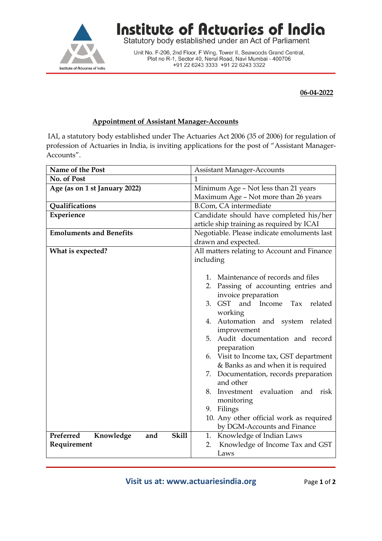

## Institute of Actuaries of India

Statutory body established under an Act of Parliament

Unit No. F-206, 2nd Floor, F Wing, Tower II, Seawoods Grand Central,<br>Plot no R-1, Sector 40, Nerul Road, Navi Mumbai - 400706 +91 22 6243 3333 +91 22 6243 3322

## **06-04-2022**

## **Appointment of Assistant Manager-Accounts**

IAI, a statutory body established under The Actuaries Act 2006 (35 of 2006) for regulation of profession of Actuaries in India, is inviting applications for the post of "Assistant Manager-Accounts".

| Name of the Post                              | <b>Assistant Manager-Accounts</b>                |
|-----------------------------------------------|--------------------------------------------------|
| No. of Post                                   | 1                                                |
| Age (as on 1 st January 2022)                 | Minimum Age - Not less than 21 years             |
|                                               | Maximum Age - Not more than 26 years             |
| Qualifications                                | B.Com, CA intermediate                           |
| Experience                                    | Candidate should have completed his/her          |
|                                               | article ship training as required by ICAI        |
| <b>Emoluments and Benefits</b>                | Negotiable. Please indicate emoluments last      |
|                                               | drawn and expected.                              |
| What is expected?                             | All matters relating to Account and Finance      |
|                                               | including                                        |
|                                               |                                                  |
|                                               | 1. Maintenance of records and files              |
|                                               | 2. Passing of accounting entries and             |
|                                               | invoice preparation                              |
|                                               | 3. GST and Income<br>Tax<br>related              |
|                                               | working                                          |
|                                               | 4. Automation and system related                 |
|                                               | improvement<br>5. Audit documentation and record |
|                                               | preparation                                      |
|                                               | 6. Visit to Income tax, GST department           |
|                                               | & Banks as and when it is required               |
|                                               | 7. Documentation, records preparation            |
|                                               | and other                                        |
|                                               | 8. Investment evaluation and risk                |
|                                               | monitoring                                       |
|                                               | 9. Filings                                       |
|                                               | 10. Any other official work as required          |
|                                               | by DGM-Accounts and Finance                      |
| Preferred<br><b>Skill</b><br>Knowledge<br>and | 1. Knowledge of Indian Laws                      |
| Requirement                                   | Knowledge of Income Tax and GST<br>2.            |
|                                               | Laws                                             |